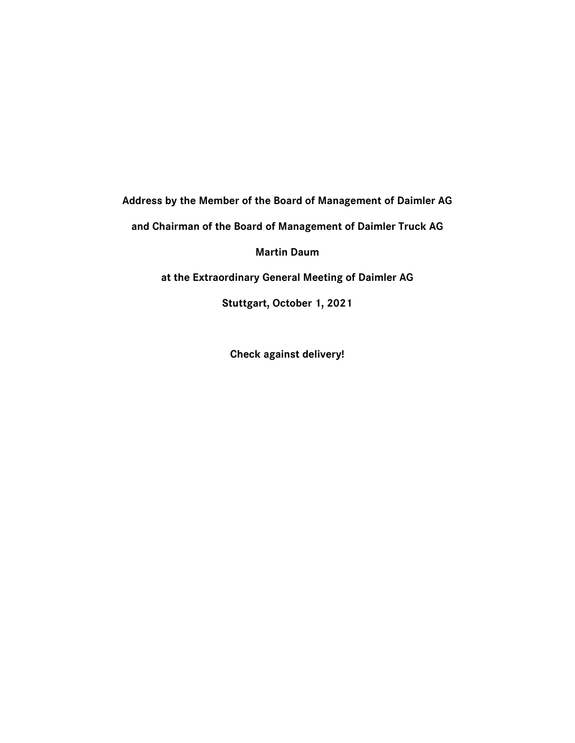**Address by the Member of the Board of Management of Daimler AG** 

**and Chairman of the Board of Management of Daimler Truck AG**

**Martin Daum**

**at the Extraordinary General Meeting of Daimler AG**

**Stuttgart, October 1, 2021**

**Check against delivery!**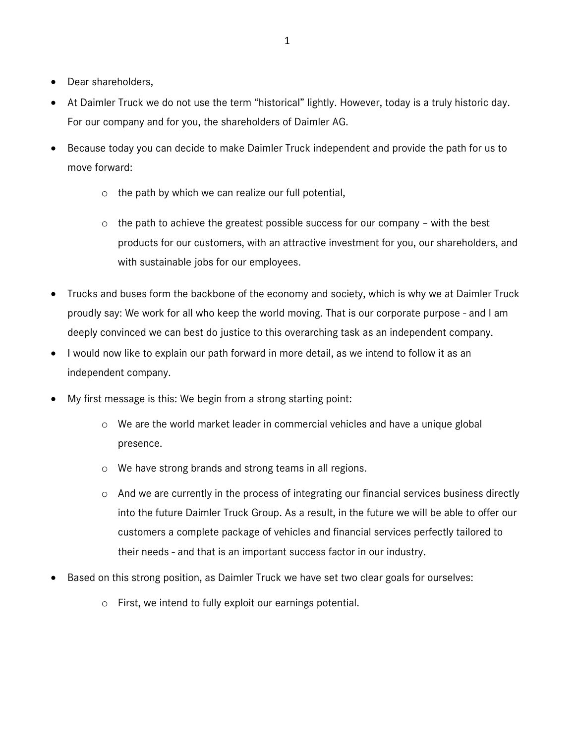- Dear shareholders,
- At Daimler Truck we do not use the term "historical" lightly. However, today is a truly historic day. For our company and for you, the shareholders of Daimler AG.
- Because today you can decide to make Daimler Truck independent and provide the path for us to move forward:
	- o the path by which we can realize our full potential,
	- $\circ$  the path to achieve the greatest possible success for our company with the best products for our customers, with an attractive investment for you, our shareholders, and with sustainable jobs for our employees.
- Trucks and buses form the backbone of the economy and society, which is why we at Daimler Truck proudly say: We work for all who keep the world moving. That is our corporate purpose - and I am deeply convinced we can best do justice to this overarching task as an independent company.
- I would now like to explain our path forward in more detail, as we intend to follow it as an independent company.
- My first message is this: We begin from a strong starting point:
	- o We are the world market leader in commercial vehicles and have a unique global presence.
	- o We have strong brands and strong teams in all regions.
	- o And we are currently in the process of integrating our financial services business directly into the future Daimler Truck Group. As a result, in the future we will be able to offer our customers a complete package of vehicles and financial services perfectly tailored to their needs - and that is an important success factor in our industry.
- Based on this strong position, as Daimler Truck we have set two clear goals for ourselves:
	- o First, we intend to fully exploit our earnings potential.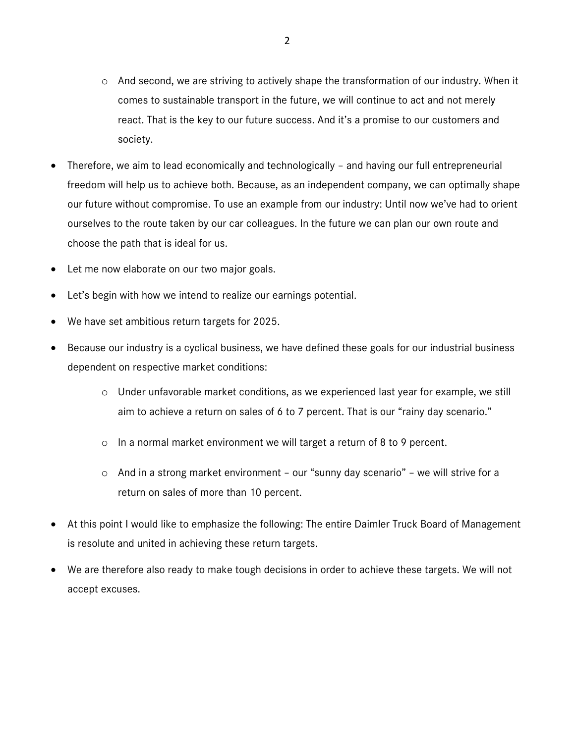- o And second, we are striving to actively shape the transformation of our industry. When it comes to sustainable transport in the future, we will continue to act and not merely react. That is the key to our future success. And it's a promise to our customers and society.
- Therefore, we aim to lead economically and technologically and having our full entrepreneurial freedom will help us to achieve both. Because, as an independent company, we can optimally shape our future without compromise. To use an example from our industry: Until now we've had to orient ourselves to the route taken by our car colleagues. In the future we can plan our own route and choose the path that is ideal for us.
- Let me now elaborate on our two major goals.
- Let's begin with how we intend to realize our earnings potential.
- We have set ambitious return targets for 2025.
- Because our industry is a cyclical business, we have defined these goals for our industrial business dependent on respective market conditions:
	- o Under unfavorable market conditions, as we experienced last year for example, we still aim to achieve a return on sales of 6 to 7 percent. That is our "rainy day scenario."
	- o In a normal market environment we will target a return of 8 to 9 percent.
	- o And in a strong market environment our "sunny day scenario" we will strive for a return on sales of more than 10 percent.
- At this point I would like to emphasize the following: The entire Daimler Truck Board of Management is resolute and united in achieving these return targets.
- We are therefore also ready to make tough decisions in order to achieve these targets. We will not accept excuses.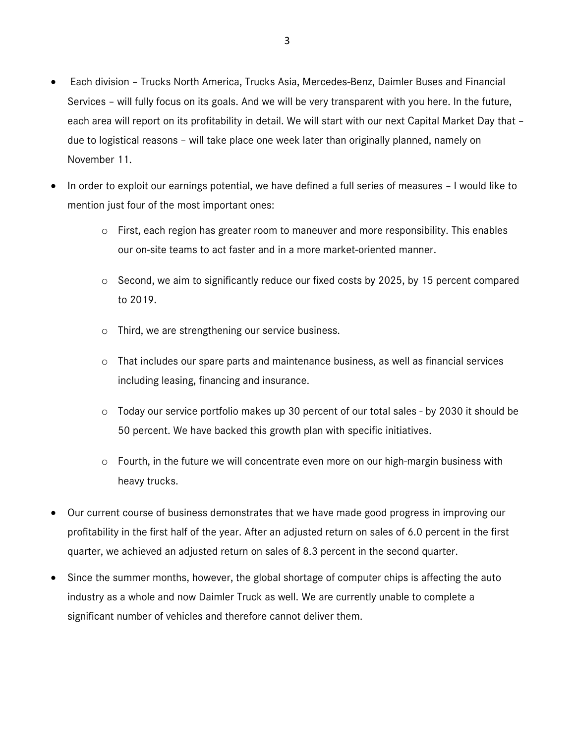- Each division Trucks North America, Trucks Asia, Mercedes-Benz, Daimler Buses and Financial Services – will fully focus on its goals. And we will be very transparent with you here. In the future, each area will report on its profitability in detail. We will start with our next Capital Market Day that – due to logistical reasons – will take place one week later than originally planned, namely on November 11.
- In order to exploit our earnings potential, we have defined a full series of measures I would like to mention just four of the most important ones:
	- $\circ$  First, each region has greater room to maneuver and more responsibility. This enables our on-site teams to act faster and in a more market-oriented manner.
	- o Second, we aim to significantly reduce our fixed costs by 2025, by 15 percent compared to 2019.
	- o Third, we are strengthening our service business.
	- o That includes our spare parts and maintenance business, as well as financial services including leasing, financing and insurance.
	- o Today our service portfolio makes up 30 percent of our total sales by 2030 it should be 50 percent. We have backed this growth plan with specific initiatives.
	- o Fourth, in the future we will concentrate even more on our high-margin business with heavy trucks.
- Our current course of business demonstrates that we have made good progress in improving our profitability in the first half of the year. After an adjusted return on sales of 6.0 percent in the first quarter, we achieved an adjusted return on sales of 8.3 percent in the second quarter.
- Since the summer months, however, the global shortage of computer chips is affecting the auto industry as a whole and now Daimler Truck as well. We are currently unable to complete a significant number of vehicles and therefore cannot deliver them.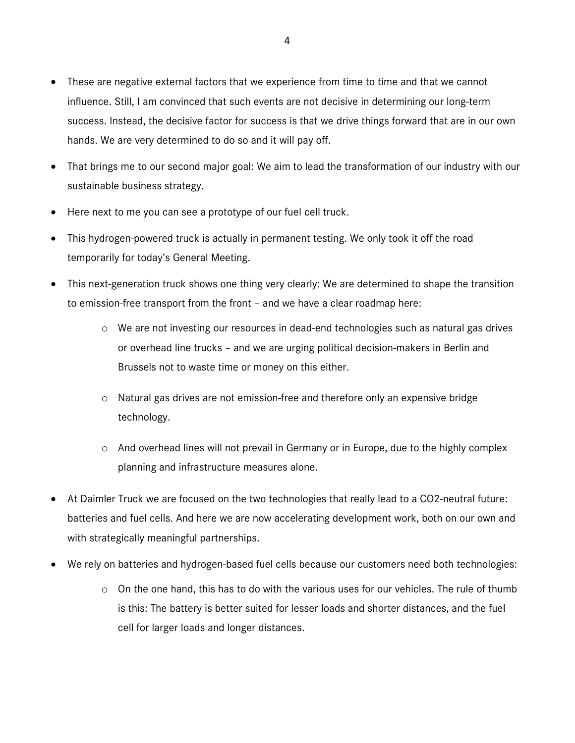- These are negative external factors that we experience from time to time and that we cannot influence. Still, I am convinced that such events are not decisive in determining our long-term success. Instead, the decisive factor for success is that we drive things forward that are in our own hands. We are very determined to do so and it will pay off.
- That brings me to our second major goal: We aim to lead the transformation of our industry with our sustainable business strategy.
- Here next to me you can see a prototype of our fuel cell truck.
- This hydrogen-powered truck is actually in permanent testing. We only took it off the road temporarily for today's General Meeting.
- This next-generation truck shows one thing very clearly: We are determined to shape the transition to emission-free transport from the front – and we have a clear roadmap here:
	- o We are not investing our resources in dead-end technologies such as natural gas drives or overhead line trucks – and we are urging political decision-makers in Berlin and Brussels not to waste time or money on this either.
	- o Natural gas drives are not emission-free and therefore only an expensive bridge technology.
	- o And overhead lines will not prevail in Germany or in Europe, due to the highly complex planning and infrastructure measures alone.
- At Daimler Truck we are focused on the two technologies that really lead to a CO2-neutral future: batteries and fuel cells. And here we are now accelerating development work, both on our own and with strategically meaningful partnerships.
- We rely on batteries and hydrogen-based fuel cells because our customers need both technologies:
	- $\circ$  On the one hand, this has to do with the various uses for our vehicles. The rule of thumb is this: The battery is better suited for lesser loads and shorter distances, and the fuel cell for larger loads and longer distances.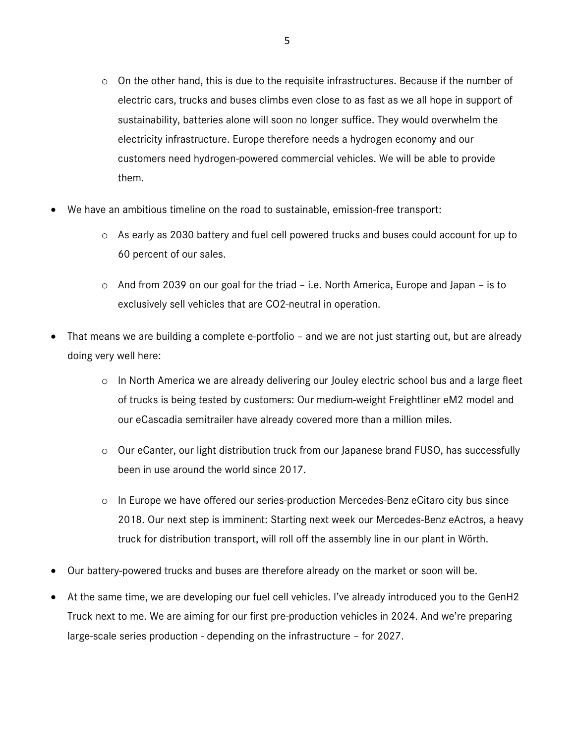- $\circ$  On the other hand, this is due to the requisite infrastructures. Because if the number of electric cars, trucks and buses climbs even close to as fast as we all hope in support of sustainability, batteries alone will soon no longer suffice. They would overwhelm the electricity infrastructure. Europe therefore needs a hydrogen economy and our customers need hydrogen-powered commercial vehicles. We will be able to provide them.
- We have an ambitious timeline on the road to sustainable, emission-free transport:
	- o As early as 2030 battery and fuel cell powered trucks and buses could account for up to 60 percent of our sales.
	- o And from 2039 on our goal for the triad i.e. North America, Europe and Japan is to exclusively sell vehicles that are CO2-neutral in operation.
- That means we are building a complete e-portfolio and we are not just starting out, but are already doing very well here:
	- o In North America we are already delivering our Jouley electric school bus and a large fleet of trucks is being tested by customers: Our medium-weight Freightliner eM2 model and our eCascadia semitrailer have already covered more than a million miles.
	- o Our eCanter, our light distribution truck from our Japanese brand FUSO, has successfully been in use around the world since 2017.
	- o In Europe we have offered our series-production Mercedes-Benz eCitaro city bus since 2018. Our next step is imminent: Starting next week our Mercedes-Benz eActros, a heavy truck for distribution transport, will roll off the assembly line in our plant in Wörth.
- Our battery-powered trucks and buses are therefore already on the market or soon will be.
- At the same time, we are developing our fuel cell vehicles. I've already introduced you to the GenH2 Truck next to me. We are aiming for our first pre-production vehicles in 2024. And we're preparing large-scale series production - depending on the infrastructure – for 2027.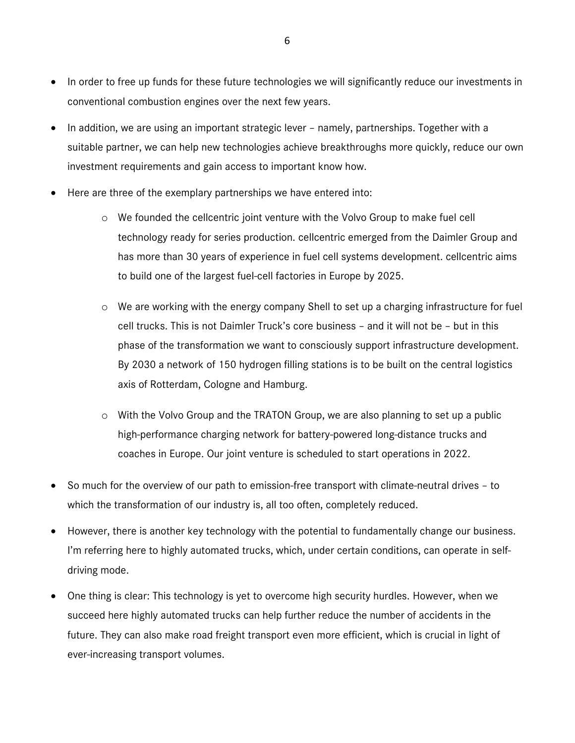- In order to free up funds for these future technologies we will significantly reduce our investments in conventional combustion engines over the next few years.
- In addition, we are using an important strategic lever namely, partnerships. Together with a suitable partner, we can help new technologies achieve breakthroughs more quickly, reduce our own investment requirements and gain access to important know how.
- Here are three of the exemplary partnerships we have entered into:
	- $\circ$  We founded the cellcentric joint venture with the Volvo Group to make fuel cell technology ready for series production. cellcentric emerged from the Daimler Group and has more than 30 years of experience in fuel cell systems development. cellcentric aims to build one of the largest fuel-cell factories in Europe by 2025.
	- o We are working with the energy company Shell to set up a charging infrastructure for fuel cell trucks. This is not Daimler Truck's core business – and it will not be – but in this phase of the transformation we want to consciously support infrastructure development. By 2030 a network of 150 hydrogen filling stations is to be built on the central logistics axis of Rotterdam, Cologne and Hamburg.
	- o With the Volvo Group and the TRATON Group, we are also planning to set up a public high-performance charging network for battery-powered long-distance trucks and coaches in Europe. Our joint venture is scheduled to start operations in 2022.
- So much for the overview of our path to emission-free transport with climate-neutral drives to which the transformation of our industry is, all too often, completely reduced.
- However, there is another key technology with the potential to fundamentally change our business. I'm referring here to highly automated trucks, which, under certain conditions, can operate in selfdriving mode.
- One thing is clear: This technology is yet to overcome high security hurdles. However, when we succeed here highly automated trucks can help further reduce the number of accidents in the future. They can also make road freight transport even more efficient, which is crucial in light of ever-increasing transport volumes.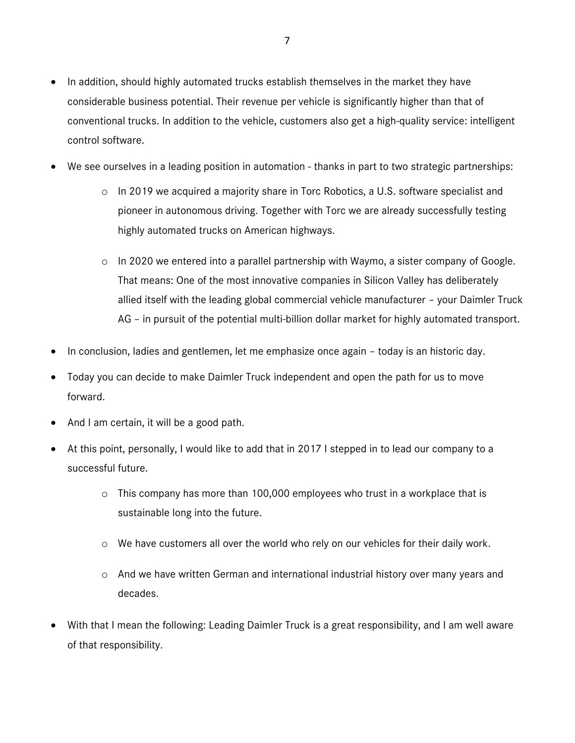- In addition, should highly automated trucks establish themselves in the market they have considerable business potential. Their revenue per vehicle is significantly higher than that of conventional trucks. In addition to the vehicle, customers also get a high-quality service: intelligent control software.
- We see ourselves in a leading position in automation thanks in part to two strategic partnerships:
	- $\circ$  In 2019 we acquired a majority share in Torc Robotics, a U.S. software specialist and pioneer in autonomous driving. Together with Torc we are already successfully testing highly automated trucks on American highways.
	- o In 2020 we entered into a parallel partnership with Waymo, a sister company of Google. That means: One of the most innovative companies in Silicon Valley has deliberately allied itself with the leading global commercial vehicle manufacturer – your Daimler Truck AG – in pursuit of the potential multi-billion dollar market for highly automated transport.
- In conclusion, ladies and gentlemen, let me emphasize once again today is an historic day.
- Today you can decide to make Daimler Truck independent and open the path for us to move forward.
- And I am certain, it will be a good path.
- At this point, personally, I would like to add that in 2017 I stepped in to lead our company to a successful future.
	- o This company has more than 100,000 employees who trust in a workplace that is sustainable long into the future.
	- o We have customers all over the world who rely on our vehicles for their daily work.
	- $\circ$  And we have written German and international industrial history over many years and decades.
- With that I mean the following: Leading Daimler Truck is a great responsibility, and I am well aware of that responsibility.